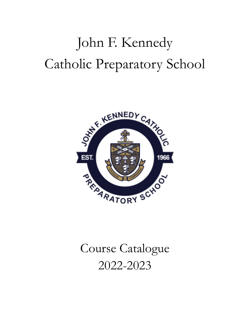# John F. Kennedy Catholic Preparatory School



## Course Catalogue 2022-2023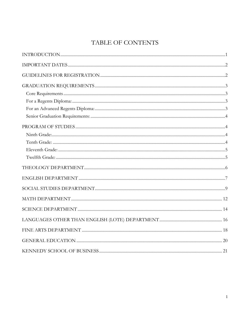## TABLE OF CONTENTS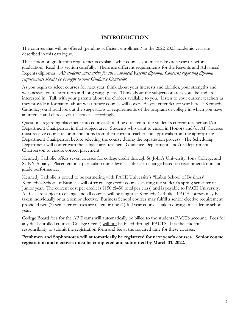## **INTRODUCTION**

<span id="page-2-0"></span>The courses that will be offered (pending sufficient enrollment) in the 2022-2023 academic year are described in this catalogue.

The section on graduation requirements explains what courses you must take each year or before graduation. Read this section carefully. There are different requirements for the Regents and Advanced Regents diplomas. *All students must strive for the Advanced Regents diploma. Concerns regarding diploma requirements should be brought to your Guidance Counselor.*

As you begin to select courses for next year, think about your interests and abilities, your strengths and weaknesses, your short-term and long-range plans. Think about the subjects or areas you like and are interested in. Talk with your parents about the choices available to you. Listen to your current teachers as they provide information about what future courses will cover. As you enter Senior year here at Kennedy Catholic, you should look at the suggestions or requirements of the program or college in which you have an interest and choose your electives accordingly.

Questions regarding placement into courses should be directed to the student's current teacher and/or Department Chairperson in that subject area. Students who want to enroll in Honors and/or AP Courses must receive course recommendations from their current teacher and approvals from the appropriate Department Chairperson before selecting the course during the registration process. The Scheduling Department will confer with the subject area teachers, Guidance Department, and/or Department Chairperson to ensure correct placement.

Kennedy Catholic offers seven courses for college credit through St. John's University, Iona College, and SUNY Albany. Placement in a particular course level is subject to change based on recommendation and grade performance.

Kennedy Catholic is proud to be partnering with PACE University's "Lubin School of Business". Kennedy's School of Business will offer college credit courses starting the student's spring semester of Junior year. The current cost per credit is \$150 (\$450 total per class) and is payable to PACE University. All fees are subject to change and all courses will be taught at Kennedy Catholic. PACE courses may be taken individually or as a senior elective. Business School courses may fulfill a senior elective requirement provided two (2) semester courses are taken or one (1) full year course is taken during an academic school year.

College Board fees for the AP Exams will automatically be billed to the students FACTS account. Fees for any dual-enrolled courses (College Credit) will not be billed through FACTS. It is the student's responsibility to submit the registration form and fee at the required time for these courses.

**Freshmen and Sophomores will automatically be registered for next year's courses. Senior course registration and electives must be completed and submitted by March 31, 2022.**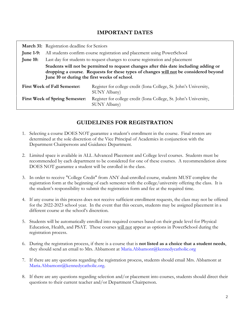## **IMPORTANT DATES**

<span id="page-3-0"></span>

|                                                                                                                                                                                                                               | <b>March 31:</b> Registration deadline for Seniors                            |                                                                                   |  |  |
|-------------------------------------------------------------------------------------------------------------------------------------------------------------------------------------------------------------------------------|-------------------------------------------------------------------------------|-----------------------------------------------------------------------------------|--|--|
| <b>June 1-9:</b>                                                                                                                                                                                                              | All students confirm course registration and placement using PowerSchool      |                                                                                   |  |  |
| June 10:                                                                                                                                                                                                                      | Last day for students to request changes to course registration and placement |                                                                                   |  |  |
| Students will not be permitted to request changes after this date including adding or<br>dropping a course. Requests for these types of changes will not be considered beyond<br>June 10 or during the first weeks of school. |                                                                               |                                                                                   |  |  |
| <b>First Week of Fall Semester:</b>                                                                                                                                                                                           |                                                                               | Register for college credit (Iona College, St. John's University,<br>SUNY Albany) |  |  |
|                                                                                                                                                                                                                               | <b>First Week of Spring Semester:</b>                                         | Register for college credit (Iona College, St. John's University,<br>SUNY Albany) |  |  |

## **GUIDELINES FOR REGISTRATION**

- <span id="page-3-1"></span>1. Selecting a course DOES NOT guarantee a student's enrollment in the course. Final rosters are determined at the sole discretion of the Vice Principal of Academics in conjunction with the Department Chairpersons and Guidance Department.
- 2. Limited space is available in ALL Advanced Placement and College level courses. Students must be recommended by each department to be considered for one of these courses. A recommendation alone DOES NOT guarantee a student will be enrolled in the class.
- 3. In order to receive "College Credit" from ANY dual-enrolled course, students MUST complete the registration form at the beginning of each semester with the college/university offering the class. It is the student's responsibility to submit the registration form and fee at the required time.
- 4. If any course in this process does not receive sufficient enrollment requests, the class may not be offered for the 2022-2023 school year. In the event that this occurs, students may be assigned placement in a different course at the school's discretion.
- 5. Students will be automatically enrolled into required courses based on their grade level for Physical Education, Health, and PSAT. These courses will not appear as options in PowerSchool during the registration process.
- 6. During the registration process, if there is a course that is **not listed as a choice that a student needs**, they should send an email to Mrs. Abbamont at [Maria.Abbamont@kennedycatholic.org](mailto:Maria.Abbamont@kennedycatholic.org)
- 7. If there are any questions regarding the registration process, students should email Mrs. Abbamont at [Maria.Abbamont@kennedycatholic.org.](mailto:Maria.Abbamont@kennedycatholic.org)
- 8. If there are any questions regarding selection and/or placement into courses, students should direct their questions to their current teacher and/or Department Chairperson.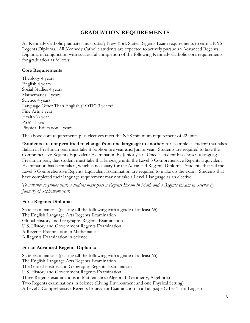## **GRADUATION REQUIREMENTS**

<span id="page-4-0"></span>All Kennedy Catholic graduates must satisfy New York States Regents Exam requirements to earn a NYS Regents Diploma. All Kennedy Catholic students are expected to actively pursue an Advanced Regents Diploma in conjunction with successful completion of the following Kennedy Catholic core requirements for graduation as follows:

## <span id="page-4-1"></span>**Core Requirements**

Theology 4 years English 4 years Social Studies 4 years Mathematics 4 years Science 4 years Language Other Than English (LOTE) 3 years\* Fine Arts 1 year Health ½ year PSAT 1 year Physical Education 4 years

The above core requirements plus electives meet the NYS minimum requirement of 22 units.

\***Students are not permitted to change from one language to another**; for example, a student that takes Italian in Freshman year must take it Sophomore year **and** Junior year. Students are required to take the Comprehensive Regents Equivalent Examination by Junior year. Once a student has chosen a language Freshman year, that student must take that language until the Level 3 Comprehensive Regents Equivalent Examination has been taken, which is necessary for the Advanced Regents Diploma. Students that fail the Level 3 Comprehensive Regents Equivalent Examination are required to make up the exam. Students that have completed their language requirement may not take a Level 1 language as an elective.

*To advance to Junior year, a student must pass a Regents Exam in Math and a Regents Exam in Science by January of Sophomore year.* 

## <span id="page-4-2"></span>**For a Regents Diploma:**

State examinations (passing **all** the following with a grade of at least 65): The English Language Arts Regents Examination Global History and Geography Regents Examination U.S. History and Government Regents Examination A Regents Examination in Mathematics A Regents Examination in Science

## <span id="page-4-3"></span>**For an Advanced Regents Diploma:**

State examinations (passing **all** the following with a grade of at least 65): The English Language Arts Regents Examination The Global History and Geography Regents Examination U.S. History and Government Regents Examination Three Regents examinations in Mathematics (Algebra I, Geometry, Algebra 2) Two Regents examinations in Science (Living Environment and one Physical Setting) A Level 3 Comprehensive Regents Equivalent Examination in a Language Other Than English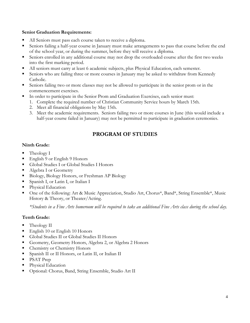#### <span id="page-5-0"></span>**Senior Graduation Requirements:**

- All Seniors must pass each course taken to receive a diploma.
- **•** Seniors failing a half-year course in January must make arrangements to pass that course before the end of the school year, or during the summer, before they will receive a diploma.
- Seniors enrolled in any additional course may not drop the overloaded course after the first two weeks into the first marking period.
- All seniors must carry at least 6 academic subjects, plus Physical Education, each semester.
- Seniors who are failing three or more courses in January may be asked to withdraw from Kennedy Catholic.
- Seniors failing two or more classes may not be allowed to participate in the senior prom or in the commencement exercises.
- In order to participate in the Senior Prom and Graduation Exercises, each senior must:
	- 1. Complete the required number of Christian Community Service hours by March 15th.
	- 2. Meet all financial obligations by May 15th.
	- 3. Meet the academic requirements. Seniors failing two or more courses in June (this would include a half-year course failed in January) may not be permitted to participate in graduation ceremonies.

## **PROGRAM OF STUDIES**

## <span id="page-5-2"></span><span id="page-5-1"></span>**Ninth Grade:**

- Theology I
- English 9 or English 9 Honors
- Global Studies I or Global Studies I Honors
- Algebra I or Geometry
- Biology, Biology Honors, or Freshman AP Biology
- Spanish I, or Latin I, or Italian I
- Physical Education
- One of the following: Art & Music Appreciation, Studio Art, Chorus\*, Band\*, String Ensemble\*, Music History & Theory, or Theater/Acting.

*\*Students in a Fine Arts homeroom will be required to take an additional Fine Arts class during the school day.* 

## <span id="page-5-3"></span>**Tenth Grade:**

- Theology II
- English 10 or English 10 Honors
- Global Studies II or Global Studies II Honors
- Geometry, Geometry Honors, Algebra 2, or Algebra 2 Honors
- Chemistry or Chemistry Honors
- Spanish II or II Honors, or Latin II, or Italian II
- **PSAT** Prep
- Physical Education
- Optional: Chorus, Band, String Ensemble, Studio Art II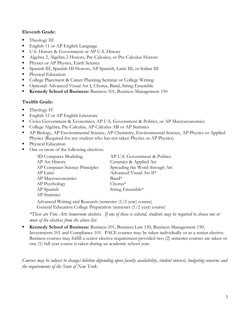## <span id="page-6-0"></span>**Eleventh Grade:**

- Theology III
- English 11 or AP English Language
- U.S. History & Government or AP U.S. History
- Algebra 2, Algebra 2 Honors, Pre-Calculus, or Pre-Calculus Honors
- Physics or AP Physics, Earth Science
- Spanish III, Spanish III Honors, AP Spanish, Latin III, or Italian III
- **•** Physical Education
- College Placement & Career Planning Seminar or College Writing
- Optional: Advanced Visual Art I, Chorus, Band, String Ensemble
- Kennedy School of Business: Business 101, Business Management 150

## <span id="page-6-1"></span>**Twelfth Grade:**

- Theology IV
- English 12 or AP English Literature
- Civics Government & Economics, AP U.S. Government & Politics, or AP Macroeconomics
- College Algebra, Pre-Calculus, AP Calculus AB or AP Statistics
- AP Biology, AP Environmental Science, AP Chemistry, Environmental Science, AP Physics or Applied Physics (Required for any student who has not taken Physics or AP Physics)
- Physical Education
- One or more of the following electives.

| 3D Computer Modeling           | AP U.S. Government & Politics  |
|--------------------------------|--------------------------------|
| AP Art History                 | Ceramics & Applied Art         |
| AP Computer Science Principles | Spreading the Word through Art |
| AP Latin                       | Advanced Visual Art II*        |
| AP Macroeconomics              | Band*                          |
| AP Psychology                  | $Chorus*$                      |
| AP Spanish                     | String Ensemble*               |
| <b>AP</b> Statistics           |                                |
|                                |                                |

Advanced Writing and Research (semester (1/2 year) course) General Education College Preparation (semester (1/2 year) course)

*\*These are Fine Arts homeroom electives. If one of these is selected, students may be required to choose one or more of the electives from the above list.*

**Kennedy School of Business:** Business 101, Business Law 150, Business Management 150, Investments 101 and Compliance 101. PACE courses may be taken individually or as a senior elective. Business courses may fulfill a senior elective requirement provided two (2) semester courses are taken or one (1) full year course is taken during an academic school year.

*Courses may be subject to change/deletion depending upon faculty availability, student interest, budgeting concerns and the requirements of the State of New York*.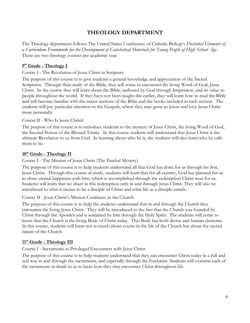## **THEOLOGY DEPARTMENT**

<span id="page-7-0"></span>The Theology department follows The United States Conference of Catholic Bishop's *Doctrinal Elements of a Curriculum Framework for the Development of Catechetical Materials for Young People of High School Age*. There are two theology courses per academic year.

## **9 th Grade - Theology I**

#### Course I - The Revelation of Jesus Christ in Scripture

The purpose of this course is to give students a general knowledge and appreciation of the Sacred Scriptures. Through their study of the Bible, they will come to encounter the living Word of God, Jesus Christ. In the course they will learn about the Bible, authored by God through Inspiration, and its value to people throughout the world. If they have not been taught this earlier, they will learn how to read the Bible and will become familiar with the major sections of the Bible and the books included in each section. The students will pay particular attention to the Gospels, where they may grow to know and love Jesus Christ more personally.

#### Course II - Who Is Jesus Christ?

The purpose of this course is to introduce students to the mystery of Jesus Christ, the living Word of God, the Second Person of the Blessed Trinity. In this course students will understand that Jesus Christ is the ultimate Revelation to us from God. In learning about who he is, the students will also learn who he calls them to be.

#### **10th Grade - Theology II**

Course I - The Mission of Jesus Christ (The Paschal Mystery)

The purpose of this course is to help students understand all that God has done for us through his Son, Jesus Christ. Through this course of study, students will learn that for all eternity, God has planned for us to share eternal happiness with him, which is accomplished through the redemption Christ won for us. Students will learn that we share in this redemption only in and through Jesus Christ. They will also be introduced to what it means to be a disciple of Christ and what life as a disciple entails.

Course II - Jesus Christ's Mission Continues in the Church

The purpose of this course is to help the students understand that in and through the Church they encounter the living Jesus Christ. They will be introduced to the fact that the Church was founded by Christ through the Apostles and is sustained by him through the Holy Spirit. The students will come to know that the Church is the living Body of Christ today. This Body has both divine and human elements. In this course, students will learn not so much about events in the life of the Church but about the sacred nature of the Church.

#### **11th Grade - Theology III**

Course I - Sacraments as Privileged Encounters with Jesus Christ

The purpose of this course is to help students understand that they can encounter Christ today in a full and real way in and through the sacraments, and especially through the Eucharist. Students will examine each of the sacraments in detail so as to learn how they may encounter Christ throughout life.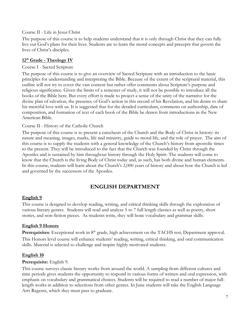#### Course II - Life in Jesus Christ

The purpose of this course is to help students understand that it is only through Christ that they can fully live out God's plans for their lives. Students are to learn the moral concepts and precepts that govern the lives of Christ's disciples.

#### **12th Grade - Theology IV**

#### Course I - Sacred Scripture

The purpose of this course is to give an overview of Sacred Scripture with an introduction to the basic principles for understanding and interpreting the Bible. Because of the extent of the scriptural material, this outline will not try to cover the vast content but rather offer comments about Scripture's purpose and religious significance. Given the limits of a semester of study, it will not be possible to introduce all the books of the Bible here. But every effort is made to project a sense of the unity of the narrative for the divine plan of salvation, the presence of God's action in this record of his Revelation, and his desire to share his merciful love with us. It is suggested that for the detailed curriculum, comments on authorship, date of composition, and formation of text of each book of the Bible be drawn from introductions in the New American Bible.

## Course II - History of the Catholic Church

The purpose of this course is to present a catechesis of the Church and the Body of Christ in history: its nature and meaning, images, marks, life and ministry, guide to moral life, and the role of prayer. The aim of this course is to supply the students with a general knowledge of the Church's history from apostolic times to the present. They will be introduced to the fact that the Church was founded by Christ through the Apostles and is sustained by him throughout history through the Holy Spirit. The students will come to know that the Church is the living Body of Christ today and, as such, has both divine and human elements. In this course, students will learn about the Church's 2,000 years of history and about how the Church is led and governed by the successors of the Apostles.

## **ENGLISH DEPARTMENT**

## <span id="page-8-0"></span>**English 9**

This course is designed to develop reading, writing, and critical thinking skills through the exploration of various literary genres. Students will read and analyze 5 to 7 full length classics as well as poetry, short stories, and non-fiction pieces. As students write, they will hone vocabulary and grammar skills.

#### **English 9 Honors**

Prerequisites: Exceptional work in 8<sup>th</sup> grade, high achievement on the TACHS test, Department approval. This Honors level course will enhance students' reading, writing, critical thinking, and oral communication skills. Material is selected to challenge and inspire highly motivated students.

## **English 10**

#### **Prerequisite:** English 9.

This course surveys classic literary works from around the world. A sampling from different cultures and time periods gives students the opportunity to respond in various forms of written and oral expression, with emphasis on vocabulary and grammatical choices. Students will be required to read a number of major fulllength works in addition to selections from other genres. In June students will take the English Language Arts Regents, which they must pass to graduate.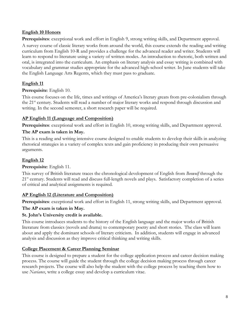## **English 10 Honors**

**Prerequisites**: exceptional work and effort in English 9, strong writing skills, and Department approval.

A survey course of classic literary works from around the world, this course extends the reading and writing curriculum from English 10-R and provides a challenge for the advanced reader and writer. Students will learn to respond to literature using a variety of written modes. An introduction to rhetoric, both written and oral, is integrated into the curriculum. An emphasis on literary analysis and essay writing is combined with vocabulary and grammar studies appropriate for the advanced high-school writer. In June students will take the English Language Arts Regents, which they must pass to graduate.

## **English 11**

## **Prerequisite**: English 10.

This course focuses on the life, times and writings of America's literary greats from pre-colonialism through the 21<sup>st</sup> century. Students will read a number of major literary works and respond through discussion and writing. In the second semester, a short research paper will be required.

## **AP English 11 (Language and Composition)**

**Prerequisites**: exceptional work and effort in English 10, strong writing skills, and Department approval.

## **The AP exam is taken in May.**

This is a reading and writing intensive course designed to enable students to develop their skills in analyzing rhetorical strategies in a variety of complex texts and gain proficiency in producing their own persuasive arguments.

## **English 12**

## **Prerequisite**: English 11.

This survey of British literature traces the chronological development of English from *Beowulf* through the 21<sup>st</sup> century. Students will read and discuss full-length novels and plays. Satisfactory completion of a series of critical and analytical assignments is required.

## **AP English 12 (Literature and Composition)**

**Prerequisites**: exceptional work and effort in English 11, strong writing skills, and Department approval.

## **The AP exam is taken in May.**

## **St. John's University credit is available.**

This course introduces students to the history of the English language and the major works of British literature from classics (novels and drama) to contemporary poetry and short stories. The class will learn about and apply the dominant schools of literary criticism. In addition, students will engage in advanced analysis and discussion as they improve critical thinking and writing skills.

## **College Placement & Career Planning Seminar**

This course is designed to prepare a student for the college application process and career decision making process. The course will guide the student through the college decision making process through career research projects. The course will also help the student with the college process by teaching them how to use *Naviance*, write a college essay and develop a curriculum vitae.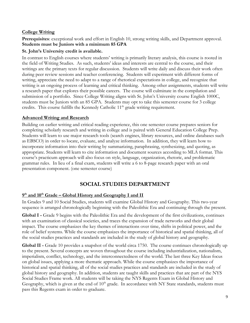## **College Writing**

**Prerequisites**: exceptional work and effort in English 10, strong writing skills, and Department approval. **Students must be Juniors with a minimum 85 GPA**

## **St. John's University credit is available.**

In contrast to English courses where students' writing is primarily literary analysis, this course is rooted in the field of Writing Studies. As such, students' ideas and interests are central to the course, and their writings are the primary texts for regular discussion. Students will write daily and discuss their work often during peer review sessions and teacher conferencing. Students will experiment with different forms of writing, appreciate the need to adapt to a range of rhetorical expectations in college, and recognize that writing is an ongoing process of learning and critical thinking. Among other assignments, students will write a research paper that explores their possible careers. The course will culminate in the compilation and submission of a portfolio. Since College Writing aligns with St. John's University course English 1000C, students must be Juniors with an 85 GPA. Students may opt to take this semester course for 3 college credits. This course fulfills the Kennedy Catholic  $11<sup>th</sup>$  grade writing requirement.

#### **Advanced Writing and Research**

Building on earlier writing and critical reading experience, this one semester course prepares seniors for completing scholarly research and writing in college and is paired with General Education College Prep. Students will learn to use major research tools (search engines, library resources, and online databases such as EBSCO) in order to locate, evaluate, and analyze information. In addition, they will learn how to incorporate information into their writing by summarizing, paraphrasing, synthesizing, and quoting, as appropriate. Students will learn to cite information and document sources according to MLA format. This course's practicum approach will also focus on style, language, organization, rhetoric, and problematic grammar rules. In lieu of a final exam, students will write a 6 to 8-page research paper with an oral presentation component. (one semester course)

## **SOCIAL STUDIES DEPARTMENT**

## <span id="page-10-0"></span>**9 th and 10th Grade – Global History and Geography I and II**

In Grades 9 and 10 Social Studies, students will examine Global History and Geography. This two-year sequence is arranged chronologically beginning with the Paleolithic Era and continuing through the present.

**Global I -** Grade 9 begins with the Paleolithic Era and the development of the first civilizations, continues with an examination of classical societies, and traces the expansion of trade networks and their global impact. The course emphasizes the key themes of interactions over time, shifts in political power, and the role of belief systems. While the course emphasizes the importance of historical and spatial thinking, all of the social studies practices and standards are included in the study of global history and geography.

**Global II -** Grade 10 provides a snapshot of the world circa 1750. The course continues chronologically up to the present. Several concepts are woven throughout the course including industrialization, nationalism, imperialism, conflict, technology, and the interconnectedness of the world. The last three Key Ideas focus on global issues, applying a more thematic approach. While the course emphasizes the importance of historical and spatial thinking, all of the social studies practices and standards are included in the study of global history and geography. In addition, students are taught skills and practices that are part of the NYS Social Studies Frame work. All students will be taking the NYS Regents Exam in Global History and Geography, which is given at the end of 10<sup>th</sup> grade. In accordance with NY State standards, students must pass this Regents exam in order to graduate.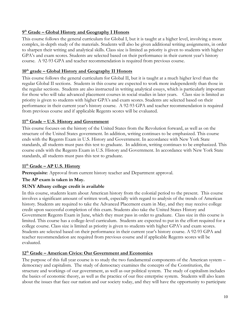## **9 th Grade – Global History and Geography I Honors**

This course follows the general curriculum for Global I, but it is taught at a higher level, involving a more complex, in-depth study of the materials. Students will also be given additional writing assignments, in order to sharpen their writing and analytical skills. Class size is limited as priority is given to students with higher GPA's and exam scores. Students are selected based on their performance in their current year's history course. A 92-93 GPA and teacher recommendation is required from previous course.

## **10th grade – Global History and Geography II Honors**

This course follows the general curriculum for Global II, but it is taught at a much higher level than the regular Global II sections. Students in this course are expected to work more independently than those in the regular sections. Students are also instructed in writing analytical essays, which is particularly important for those who will take advanced placement courses in social studies in later years. Class size is limited as priority is given to students with higher GPA's and exam scores. Students are selected based on their performance in their current year's history course. A 92-93 GPA and teacher recommendation is required from previous course and if applicable Regents scores will be evaluated.

## **11th Grade – U.S. History and Government**

This course focuses on the history of the United States from the Revolution forward, as well as on the structure of the United States government. In addition, writing continues to be emphasized. This course ends with the Regents Exam in U.S. History and Government. In accordance with New York State standards, all students must pass this test to graduate. In addition, writing continues to be emphasized. This course ends with the Regents Exam in U.S. History and Government. In accordance with New York State standards, all students must pass this test to graduate.

## **11th Grade – AP U.S. History**

**Prerequisite**: Approval from current history teacher and Department approval.

## **The AP exam is taken in May.**

## **SUNY Albany college credit is available**

In this course, students learn about American history from the colonial period to the present. This course involves a significant amount of written work, especially with regard to analysis of the trends of American history. Students are required to take the Advanced Placement exam in May, and they may receive college credit upon successful completion of this exam. Students also take the United States History and Government Regents Exam in June, which they must pass in order to graduate. Class size in this course is limited. This course has a college-level curriculum. Students are expected to put in the effort required for a college course. Class size is limited as priority is given to students with higher GPA's and exam scores. Students are selected based on their performance in their current year's history course. A 92-93 GPA and teacher recommendation are required from previous course and if applicable Regents scores will be evaluated.

## **12th Grade – American Civics: Our Government and Economics**

The purpose of this full year course is to study the two fundamental components of the American system – democracy and capitalism. The study of democracy examines the concepts of the Constitution, the structure and workings of our government, as well as our political system. The study of capitalism includes the basics of economic theory, as well as the practice of our free enterprise system. Students will also learn about the issues that face our nation and our society today, and they will have the opportunity to participate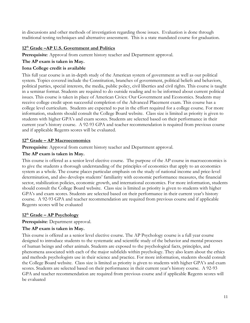in discussions and other methods of investigation regarding those issues. Evaluation is done through traditional testing techniques and alternative assessment. This is a state mandated course for graduation.

## **12th Grade –AP U.S. Government and Politics**

**Prerequisite**: Approval from current history teacher and Department approval.

## **The AP exam is taken in May.**

## **Iona College credit is available**

This full year course is an in-depth study of the American system of government as well as our political system. Topics covered include the Constitution, branches of government, political beliefs and behaviors, political parties, special interests, the media, public policy, civil liberties and civil rights. This course is taught in a seminar format. Students are required to do outside reading and to be informed about current political issues. This course is taken in place of American Civics: Our Government and Economics. Students may receive college credit upon successful completion of the Advanced Placement exam. This course has a college level curriculum. Students are expected to put in the effort required for a college course. For more information, students should consult the College Board website. Class size is limited as priority is given to students with higher GPA's and exam scores. Students are selected based on their performance in their current year's history course. A 92-93 GPA and teacher recommendation is required from previous course and if applicable Regents scores will be evaluated.

## **12th Grade – AP Macroeconomics**

**Prerequisite**: Approval from current history teacher and Department approval.

## **The AP exam is taken in May.**

This course is offered as a senior level elective course. The purpose of the AP course in macroeconomics is to give the students a thorough understanding of the principles of economics that apply to an economics system as a whole. The course places particular emphasis on the study of national income and price-level determination, and also develops students' familiarity with economic performance measures, the financial sector, stabilization policies, economic growth, and international economics. For more information, students should consult the College Board website. Class size is limited as priority is given to students with higher GPA's and exam scores. Students are selected based on their performance in their current year's history course. A 92-93 GPA and teacher recommendation are required from previous course and if applicable Regents scores will be evaluated

#### **12th Grade – AP Psychology**

**Prerequisite**: Department approval.

## **The AP exam is taken in May.**

This course is offered as a senior level elective course. The AP Psychology course is a full year course designed to introduce students to the systematic and scientific study of the behavior and mental processes of human beings and other animals. Students are exposed to the psychological facts, principles, and phenomena associated with each of the major subfields within psychology. They also learn about the ethics and methods psychologists use in their science and practice. For more information, students should consult the College Board website. Class size is limited as priority is given to students with higher GPA's and exam scores. Students are selected based on their performance in their current year's history course. A 92-93 GPA and teacher recommendation are required from previous course and if applicable Regents scores will be evaluated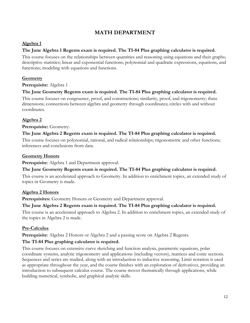## **MATH DEPARTMENT**

## <span id="page-13-0"></span>**Algebra 1**

## **The June Algebra 1 Regents exam is required. The TI-84 Plus graphing calculator is required.**

This course focuses on the relationships between quantities and reasoning using equations and their graphs; descriptive statistics; linear and exponential functions; polynomial and quadratic expressions, equations, and functions; modeling with equations and functions.

## **Geometry**

## **Prerequisite:** Algebra 1

## **The June Geometry Regents exam is required. The TI-84 Plus graphing calculator is required.**

This course focuses on congruence, proof, and constructions; similarity, proof, and trigonometry; three dimensions; connections between algebra and geometry through coordinates; circles with and without coordinates.

## **Algebra 2**

**Prerequisite:** Geometry.

## **The June Algebra 2 Regents exam is required. The TI-84 Plus graphing calculator is required.**

This course focuses on polynomial, rational, and radical relationships; trigonometric and other functions; inferences and conclusions from data.

## **Geometry Honors**

**Prerequisite**: Algebra 1 and Department approval.

## **The June Geometry Regents exam is required. The TI-84 Plus graphing calculator is required.**

This course is an accelerated approach to Geometry. In addition to enrichment topics, an extended study of topics in Geometry is made.

## **Algebra 2 Honors**

Prerequisites: Geometry Honors or Geometry and Department approval.

## **The June Algebra 2 Regents exam is required. The TI-84 Plus graphing calculator is required.**

This course is an accelerated approach to Algebra 2. In addition to enrichment topics, an extended study of the topics in Algebra 2 is made.

## **Pre-Calculus**

**Prerequisite**: Algebra 2 Honors or Algebra 2 and a passing score on Algebra 2 Regents.

#### **The TI-84 Plus graphing calculator is required.**

This course focuses on extensive curve sketching and function analysis, parametric equations, polar coordinate systems, analytic trigonometry and applications (including vectors), matrices and conic sections. Sequences and series are studied, along with an introduction to inductive reasoning. Limit notation is used as appropriate throughout the year, and the course finishes with an exploration of derivatives, providing an introduction to subsequent calculus course. The course moves thematically through applications, while building numerical, symbolic, and graphical analytic skills.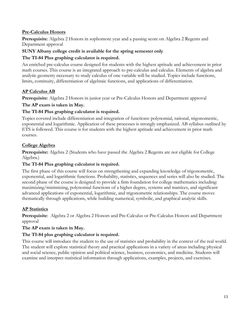## **Pre-Calculus Honors**

**Prerequisite**: Algebra 2 Honors in sophomore year and a passing score on Algebra 2 Regents and Department approval

## **SUNY Albany college credit is available for the spring semester only**

## **The TI-84 Plus graphing calculator is required.**

An enriched pre-calculus course designed for students with the highest aptitude and achievement in prior math courses. This course is an integrated approach to pre-calculus and calculus. Elements of algebra and analytic geometry necessary to study calculus of one variable will be studied. Topics include functions, limits, continuity, differentiation of algebraic functions, and applications of differentiation.

## **AP Calculus AB**

**Prerequisite**: Algebra 2 Honors in junior year or Pre-Calculus Honors and Department approval

## **The AP exam is taken in May.**

## **The TI-84 Plus graphing calculator is required.**

Topics covered include differentiation and integration of functions: polynomial, rational, trigonometric, exponential and logarithmic. Application of these processes is strongly emphasized. AB syllabus outlined by ETS is followed. This course is for students with the highest aptitude and achievement in prior math courses.

## **College Algebra**

**Prerequisite:** Algebra 2 (Students who have passed the Algebra 2 Regents are not eligible for College Algebra.)

## **The TI-84 Plus graphing calculator is required.**

The first phase of this course will focus on strengthening and expanding knowledge of trigonometric, exponential, and logarithmic functions. Probability, statistics, sequences and series will also be studied. The second phase of the course is designed to provide a firm foundation for college mathematics including: maximizing/minimizing, polynomial functions of a higher degree, systems and matrices, and significant advanced applications of exponential, logarithmic, and trigonometric relationships. The course moves thematically through applications, while building numerical, symbolic, and graphical analytic skills.

## **AP Statistics**

**Prerequisite**: Algebra 2 or Algebra 2 Honors and Pre-Calculus or Pre-Calculus Honors and Department approval

## **The AP exam is taken in May.**

## **The TI-84 plus graphing calculator is required.**

<span id="page-14-0"></span>This course will introduce the student to the use of statistics and probability in the context of the real world. The student will explore statistical theory and practical applications in a variety of areas including physical and social science, public opinion and political science, business, economics, and medicine. Students will examine and interpret statistical information through applications, examples, projects, and exercises.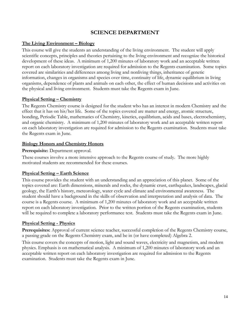## **SCIENCE DEPARTMENT**

## **The Living Environment – Biology**

This course will give the students an understanding of the living environment. The student will apply scientific concepts, principles and theories pertaining to the living environment and recognize the historical development of these ideas. A minimum of 1,200 minutes of laboratory work and an acceptable written report on each laboratory investigation are required for admission to the Regents examination. Some topics covered are similarities and differences among living and nonliving things, inheritance of genetic information, changes in organisms and species over time, continuity of life, dynamic equilibrium in living organisms, dependence of plants and animals on each other, the effect of human decisions and activities on the physical and living environment. Students must take the Regents exam in June.

## **Physical Setting – Chemistry**

The Regents Chemistry course is designed for the student who has an interest in modern Chemistry and the effect that it has on his/her life. Some of the topics covered are matter and energy, atomic structure, bonding, Periodic Table, mathematics of Chemistry, kinetics, equilibrium, acids and bases, electrochemistry, and organic chemistry. A minimum of 1,200 minutes of laboratory work and an acceptable written report on each laboratory investigation are required for admission to the Regents examination. Students must take the Regents exam in June.

## **Biology Honors and Chemistry Honors**

## **Prerequisite:** Department approval.

These courses involve a more intensive approach to the Regents course of study. The more highly motivated students are recommended for these courses.

## **Physical Setting – Earth Science**

This course provides the student with an understanding and an appreciation of this planet. Some of the topics covered are: Earth dimensions, minerals and rocks, the dynamic crust, earthquakes, landscapes, glacial geology, the Earth's history, meteorology, water cycle and climate and environmental awareness. The student should have a background in the skills of observation and interpretation and analysis of data. The course is a Regents course. A minimum of 1,200 minutes of laboratory work and an acceptable written report on each laboratory investigation. Prior to the written portion of the Regents examination, students will be required to complete a laboratory performance test. Students must take the Regents exam in June.

## **Physical Setting - Physics**

**Prerequisites:** Approval of current science teacher, successful completion of the Regents Chemistry course, a passing grade on the Regents Chemistry exam, and be in (or have completed) Algebra 2.

This course covers the concepts of motion, light and sound waves, electricity and magnetism, and modern physics. Emphasis is on mathematical analysis. A minimum of 1,200 minutes of laboratory work and an acceptable written report on each laboratory investigation are required for admission to the Regents examination. Students must take the Regents exam in June.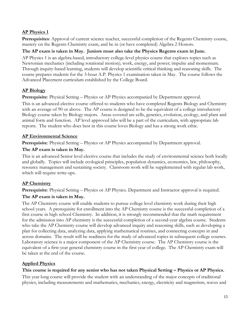## **AP Physics 1**

**Prerequisites**: Approval of current science teacher, successful completion of the Regents Chemistry course, mastery on the Regents Chemistry exam, and be in (or have completed) Algebra 2 Honors.

## **The AP exam is taken in May. Juniors must also take the Physics Regents exam in June.**

AP Physics 1 is an algebra-based, introductory college-level physics course that explores topics such as Newtonian mechanics (including rotational motion); work, energy, and power; impulse and momentum. Through inquiry-based learning, students will develop scientific critical thinking and reasoning skills. The course prepares students for the 3-hour A.P. Physics 1 examination taken in May. The course follows the Advanced Placement curriculum established by the College Board.

## **AP Biology**

**Prerequisite**: Physical Setting – Physics or AP Physics accompanied by Department approval.

This is an advanced elective course offered to students who have completed Regents Biology and Chemistry with an average of 90 or above. The AP course is designed to be the equivalent of a college introductory Biology course taken by Biology majors. Areas covered are cells, genetics, evolution, ecology, and plant and animal form and function. AP level approved labs will be a part of the curriculum, with appropriate lab reports. The student who does best in this course loves Biology and has a strong work ethic.

## **AP Environmental Science**

**Prerequisite**: Physical Setting – Physics or AP Physics accompanied by Department approval.

## **The AP exam is taken in May.**

This is an advanced Senior level elective course that includes the study of environmental science both locally and globally. Topics will include ecological principles, population dynamics, economics, law, philosophy, resource management and sustaining society. Classroom work will be supplemented with regular lab work, which will require write-ups.

## **AP Chemistry**

**Prerequisite**: Physical Setting – Physics or AP Physics. Department and Instructor approval is required.

## **The AP exam is taken in May.**

The AP Chemistry course will enable students to pursue college level chemistry work during their high school years.A prerequisite for enrollment into the AP Chemistry course is the successful completion of a first course in high school Chemistry. In addition, it is strongly recommended that the math requirement for the admission into AP chemistry is the successful completion of a second-year algebra course. Students who take the AP Chemistry course will develop advanced inquiry and reasoning skills, such as developing a plan for collecting data, analyzing data, applying mathematical routines, and connecting concepts in and across domains. The result will be readiness for the study of advanced topics in subsequent college courses. Laboratory science is a major component of the AP Chemistry course. The AP Chemistry course is the equivalent of a first-year general chemistry course in the first year of college. The AP Chemistry exam will be taken at the end of the course.

## **Applied Physics**

## **This course is required for any senior who has not taken Physical Setting – Physics or AP Physics.**

This year long course will provide the student with an understanding of the major concepts of traditional physics, including measurements and mathematics, mechanics, energy, electricity and magnetism, waves and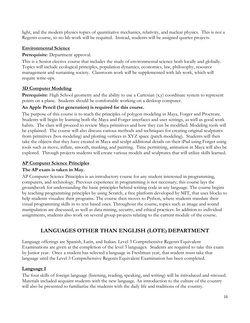light, and the modern physics topics of quantitative mechanics, relativity, and nuclear physics. This is not a Regents course, so no lab work will be required. Instead, students will be assigned quarter projects.

## **Environmental Science**

## **Prerequisite**: Department approval.

This is a Senior elective course that includes the study of environmental science both locally and globally. Topics will include ecological principles, population dynamics, economics, law, philosophy, resource management and sustaining society. Classroom work will be supplemented with lab work, which will require write-ups.

## **3D Computer Modeling**

**Prerequisite**: High School geometry and the ability to use a Cartesian (x,y) coordinate system to represent points on a plane. Students should be comfortable working on a desktop computer.

## **An Apple Pencil (1st generation) is required for this course.**

The purpose of this course is to teach the principles of polygon modeling in Maya, Forger and Procreate. Students will begin by learning both the Maya and Forger interfaces and user settings, as well as good work habits. The class will proceed to review Maya primitives and how they can be modified. Modeling tools will be explained. The course will also discuss various methods and techniques for creating original sculptures from primitives (box modeling) and plotting vertices in XYZ space (patch modeling). Students will then take the objects that they have created in Maya and sculpt additional details on their iPad using Forger using tools such as move, inflate, smooth, masking, and painting. Time permitting, animation in Maya will also be explored. Through projects students will create various models and sculptures that will utilize skills learned.

## **AP Computer Science Principles**

## **The AP exam is taken in May.**

AP Computer Science Principles is an introductory course for any student interested in programming, computers, and technology. Previous experience in programming is not necessary; this course lays the groundwork for understanding the basic principles behind writing code in any language. The course begins by teaching programming principles by using Scratch, a free platform developed by MIT, that uses blocks to help students visualize their programs. The course then moves to Python, where students translate their visual programming skills in to text based ones. Throughout the course, topics such as image and sound manipulation are discussed, as well as data mining, security, and ethical practices. In addition to individual assignments, students also work on several group projects relating to the current module of the course.

## **LANGUAGES OTHER THAN ENGLISH (LOTE) DEPARTMENT**

<span id="page-17-0"></span>Language offerings are Spanish, Latin, and Italian. Level 3 Comprehensive Regents Equivalent Examinations are given at the completion of the level 3 languages. Students are required to take this exam by Junior year. Once a student has selected a language in Freshman year, that student must take that language until the Level 3 Comprehensive Regents Equivalent Examination has been completed.

## **Language I**

The four skills of foreign language (listening, reading, speaking, and writing) will be introduced and stressed. Materials included acquaint students with the new language. An introduction to the culture of the country will also be presented to familiarize the students with the daily life and traditions of the country.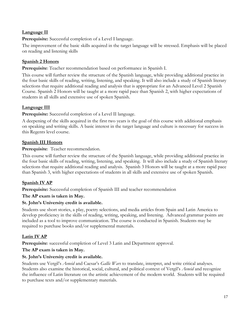## **Language II**

**Prerequisite:** Successful completion of a Level I language.

The improvement of the basic skills acquired in the target language will be stressed. Emphasis will be placed on reading and listening skills

## **Spanish 2 Honors**

**Prerequisite**: Teacher recommendation based on performance in Spanish I.

This course will further review the structure of the Spanish language, while providing additional practice in the four basic skills of reading, writing, listening, and speaking. It will also include a study of Spanish literary selections that require additional reading and analysis that is appropriate for an Advanced Level 2 Spanish Course. Spanish 2 Honors will be taught at a more rapid pace than Spanish 2, with higher expectations of students in all skills and extensive use of spoken Spanish.

## **Language III**

**Prerequisite:** Successful completion of a Level II language.

A deepening of the skills acquired in the first two years is the goal of this course with additional emphasis on speaking and writing skills. A basic interest in the target language and culture is necessary for success in this Regents level course.

## **Spanish III Honors**

**Prerequisite**: Teacher recommendation.

This course will further review the structure of the Spanish language, while providing additional practice in the four basic skills of reading, writing, listening, and speaking. It will also include a study of Spanish literary selections that require additional reading and analysis. Spanish 3 Honors will be taught at a more rapid pace than Spanish 3, with higher expectations of students in all skills and extensive use of spoken Spanish.

## **Spanish IV AP**

**Prerequisite:** Successful completion of Spanish III and teacher recommendation

## **The AP exam is taken in May.**

## **St. John's University credit is available.**

Students use short stories, a play, poetry selections, and media articles from Spain and Latin America to develop proficiency in the skills of reading, writing, speaking, and listening. Advanced grammar points are included as a tool to improve communication. The course is conducted in Spanish. Students may be required to purchase books and/or supplemental materials.

## **Latin IV AP**

**Prerequisite**: successful completion of Level 3 Latin and Department approval.

## **The AP exam is taken in May.**

## **St. John's University credit is available.**

Students use Vergil's *Aeneid* and Caesar's *Gallic Wars* to translate, interpret, and write critical analyses. Students also examine the historical, social, cultural, and political context of Vergil's *Aeneid* and recognize the influence of Latin literature on the artistic achievement of the modern world. Students will be required to purchase texts and/or supplementary materials.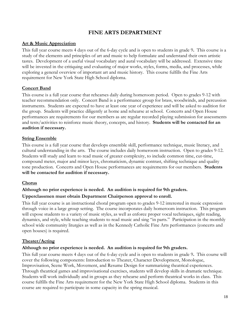## **FINE ARTS DEPARTMENT**

## <span id="page-19-0"></span>**Art & Music Appreciation**

This full year course meets 4 days out of the 6-day cycle and is open to students in grade 9**.** This course is a study of the elements and principles of art and music to help formulate and understand their own artistic tastes. Development of a useful visual vocabulary and aural vocabulary will be addressed. Extensive time will be invested in the critiquing and evaluating of major works, styles, forms, media, and processes, while exploring a general overview of important art and music history. This course fulfills the Fine Arts requirement for New York State High School diploma.

## **Concert Band**

This course is a full year course that rehearses daily during homeroom period. Open to grades 9-12 with teacher recommendation only. Concert Band is a performance group for brass, woodwinds, and percussion instruments. Students are expected to have at least one year of experience and will be asked to audition for the group. Students will practice diligently at home and rehearse at school. Concerts and Open House performances are requirements for our members as are regular recorded playing submission for assessments and tests/activities to reinforce music theory, concepts, and history. **Students will be contacted for an audition if necessary.**

## **String Ensemble**

This course is a full year course that develops ensemble skill, performance technique, music literacy, and cultural understanding in the arts. The course includes daily homeroom instruction. Open to grades 9-12. Students will study and learn to read music of greater complexity, to include common time, cut-time, compound meter, major and minor keys, chromaticism, dynamic contrast, shifting technique and quality tone production. Concerts and Open House performances are requirements for our members. **Students will be contacted for audition if necessary.**

## **Chorus**

## **Although no prior experience is needed. An audition is required for 9th graders.**

## **Upperclassmen must obtain Department Chairperson approval to enroll.**

This full year course is an instructional choral program open to grades 9-12 interested in music expression through voice in a large group setting. The course incorporates daily homeroom instruction. This program will expose students to a variety of music styles, as well as enforce proper vocal techniques, sight reading, dynamics, and style, while teaching students to read music and sing "in parts." Participation in the monthly school wide community liturgies as well as in the Kennedy Catholic Fine Arts performances (concerts and open houses) is required.

## **Theater/Acting**

## **Although no prior experience is needed. An audition is required for 9th graders.**

This full year course meets 4 days out of the 6-day cycle and is open to students in grade 9**.** This course will cover the following components: Introduction to Theater, Character Development, Monologue, Improvisation, Scene Work, Movement, and Resume Design for summarizing theatrical experiences. Through theatrical games and improvisational exercises, students will develop skills in dramatic technique. Students will work individually and in groups as they rehearse and perform theatrical works in class. This course fulfills the Fine Arts requirement for the New York State High School diploma. Students in this course are required to participate in some capacity in the spring musical.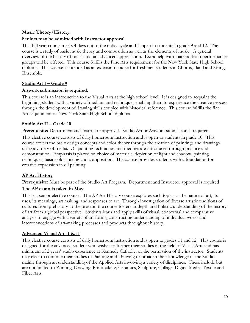## **Music Theory/History**

## **Seniors may be admitted with Instructor approval.**

This full year course meets 4 days out of the 6-day cycle and is open to students in grade 9 and 12. The course is a study of basic music theory and composition as well as the elements of music. A general overview of the history of music and an advanced appreciation. Extra help with material from performance groups will be offered. This course fulfills the Fine Arts requirement for the New York State High School diploma. This course is intended as an extension course for freshmen students in Chorus, Band and String Ensemble.

## **Studio Art I – Grade 9**

#### **Artwork submission is required.**

This course is an introduction to the Visual Arts at the high school level. It is designed to acquaint the beginning student with a variety of medium and techniques enabling them to experience the creative process through the development of drawing skills coupled with historical reference. This course fulfills the fine Arts equipment of New York State High School diploma.

#### **Studio Art II – Grade 10**

**Prerequisite:** Department and Instructor approval. Studio Art or Artwork submission is required.

This elective course consists of daily homeroom instruction and is open to students in grade 10. This course covers the basic design concepts and color theory through the creation of paintings and drawings using a variety of media. Oil painting techniques and theories are introduced through practice and demonstration. Emphasis is placed on choice of materials, depiction of light and shadow, painting techniques, basic color mixing and composition. The course provides students with a foundation for creative expression in oil painting.

## **AP Art History**

**Prerequisite:** Must be part of the Studio Art Program. Department and Instructor approval is required

#### **The AP exam is taken in May.**

This is a senior elective course. The AP Art History course explores such topics as the nature of art, its uses, its meanings, art making, and responses to art. Through investigation of diverse artistic traditions of cultures from prehistory to the present, the course fosters in-depth and holistic understanding of the history of art from a global perspective. Students learn and apply skills of visual, contextual and comparative analysis to engage with a variety of art forms, constructing understanding of individual works and interconnections of art-making processes and products throughout history.

#### **Advanced Visual Arts I & II**

This elective course consists of daily homeroom instruction and is open to grades 11 and 12. This course is designed for the advanced student who wishes to further their studies in the field of Visual Arts and has minimum of 2 years' studio experience at Kennedy Catholic, or the permission of the instructor. Students may elect to continue their studies of Painting and Drawing or broaden their knowledge of the Studio mainly through an understanding of the Applied Arts involving a variety of disciplines. These include but are not limited to Painting, Drawing, Printmaking, Ceramics, Sculpture, Collage, Digital Media, Textile and Fiber Arts.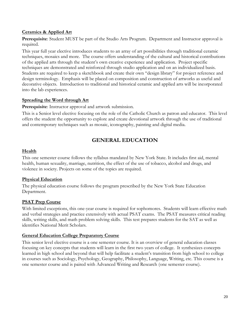## **Ceramics & Applied Art**

**Prerequisite**: Student MUST be part of the Studio Arts Program. Department and Instructor approval is required.

This year full year elective introduces students to an array of art possibilities through traditional ceramic techniques, mosaics and more. The course offers understanding of the cultural and historical contributions of the applied arts through the student's own creative experience and application. Project specific techniques are demonstrated and reinforced through studio application and on an individualized basis. Students are required to keep a sketchbook and create their own "design library" for project reference and design terminology. Emphasis will be placed on composition and construction of artworks as useful and decorative objects. Introduction to traditional and historical ceramic and applied arts will be incorporated into the lab experiences.

## **Spreading the Word through Art**

**Prerequisite**: Instructor approval and artwork submission.

<span id="page-21-0"></span>This is a Senior level elective focusing on the role of the Catholic Church as patron and educator. This level offers the student the opportunity to explore and create devotional artwork through the use of traditional and contemporary techniques such as mosaic, iconography, painting and digital media.

## **GENERAL EDUCATION**

#### **Health**

This one semester course follows the syllabus mandated by New York State. It includes first aid, mental health, human sexuality, marriage, nutrition, the effect of the use of tobacco, alcohol and drugs, and violence in society. Projects on some of the topics are required.

#### **Physical Education**

The physical education course follows the program prescribed by the New York State Education Department.

#### **PSAT Prep Course**

With limited exceptions, this one-year course is required for sophomores. Students will learn effective math and verbal strategies and practice extensively with actual PSAT exams. The PSAT measures critical reading skills, writing skills, and math problem solving skills. This test prepares students for the SAT as well as identifies National Merit Scholars.

#### **General Education College Preparatory Course**

This senior level elective course is a one semester course. It is an overview of general education classes focusing on key concepts that students will learn in the first two years of college. It synthesizes concepts learned in high school and beyond that will help facilitate a student's transition from high school to college in courses such as Sociology, Psychology, Geography, Philosophy, Language, Writing, etc. This course is a one semester course and is paired with Advanced Writing and Research (one semester course).